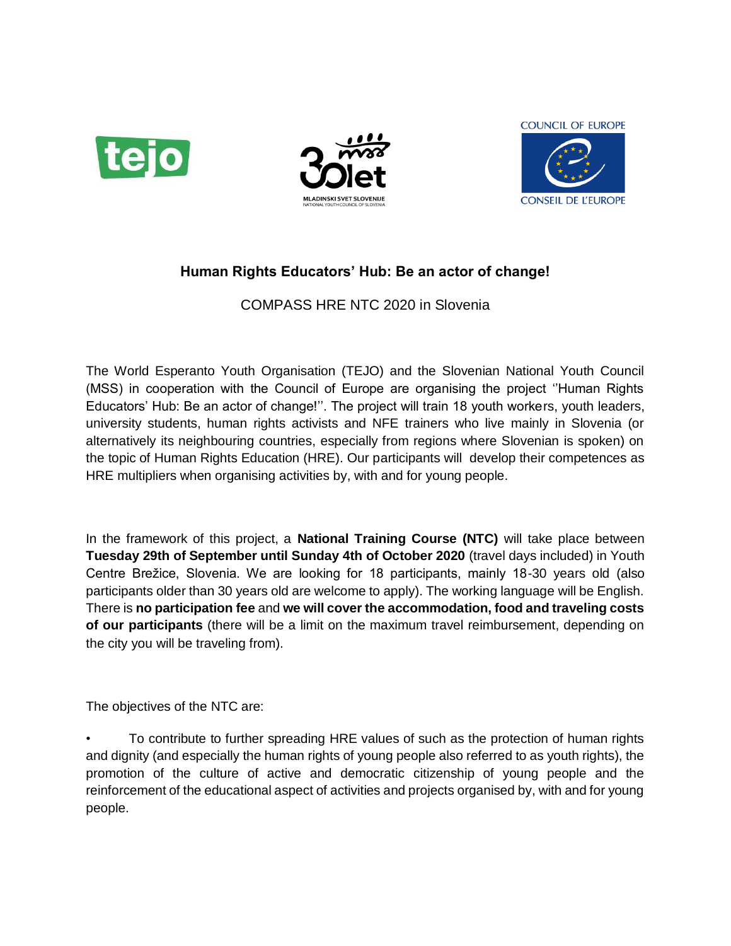





## **Human Rights Educators' Hub: Be an actor of change!**

COMPASS HRE NTC 2020 in Slovenia

The World Esperanto Youth Organisation (TEJO) and the Slovenian National Youth Council (MSS) in cooperation with the Council of Europe are organising the project ''Human Rights Educators' Hub: Be an actor of change!''. The project will train 18 youth workers, youth leaders, university students, human rights activists and NFE trainers who live mainly in Slovenia (or alternatively its neighbouring countries, especially from regions where Slovenian is spoken) on the topic of Human Rights Education (HRE). Our participants will develop their competences as HRE multipliers when organising activities by, with and for young people.

In the framework of this project, a **National Training Course (NTC)** will take place between **Tuesday 29th of September until Sunday 4th of October 2020** (travel days included) in Youth Centre Brežice, Slovenia. We are looking for 18 participants, mainly 18-30 years old (also participants older than 30 years old are welcome to apply). The working language will be English. There is **no participation fee** and **we will cover the accommodation, food and traveling costs of our participants** (there will be a limit on the maximum travel reimbursement, depending on the city you will be traveling from).

The objectives of the NTC are:

• To contribute to further spreading HRE values of such as the protection of human rights and dignity (and especially the human rights of young people also referred to as youth rights), the promotion of the culture of active and democratic citizenship of young people and the reinforcement of the educational aspect of activities and projects organised by, with and for young people.